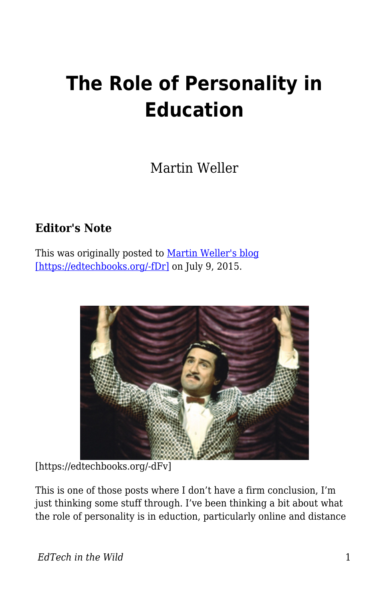## **The Role of Personality in Education**

Martin Weller

## **Editor's Note**

This was originally posted to [Martin Weller's blog](http://blog.edtechie.net/mooc/the-role-of-personality-in-education/) [\[https://edtechbooks.org/-fDr\]](http://blog.edtechie.net/mooc/the-role-of-personality-in-education/) on July 9, 2015.



[https://edtechbooks.org/-dFv]

This is one of those posts where I don't have a firm conclusion, I'm just thinking some stuff through. I've been thinking a bit about what the role of personality is in eduction, particularly online and distance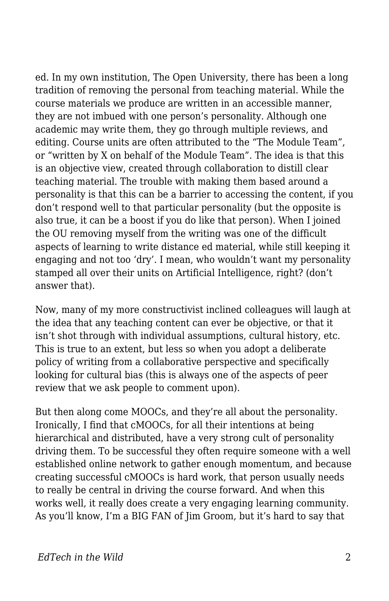ed. In my own institution, The Open University, there has been a long tradition of removing the personal from teaching material. While the course materials we produce are written in an accessible manner, they are not imbued with one person's personality. Although one academic may write them, they go through multiple reviews, and editing. Course units are often attributed to the "The Module Team", or "written by X on behalf of the Module Team". The idea is that this is an objective view, created through collaboration to distill clear teaching material. The trouble with making them based around a personality is that this can be a barrier to accessing the content, if you don't respond well to that particular personality (but the opposite is also true, it can be a boost if you do like that person). When I joined the OU removing myself from the writing was one of the difficult aspects of learning to write distance ed material, while still keeping it engaging and not too 'dry'. I mean, who wouldn't want my personality stamped all over their units on Artificial Intelligence, right? (don't answer that).

Now, many of my more constructivist inclined colleagues will laugh at the idea that any teaching content can ever be objective, or that it isn't shot through with individual assumptions, cultural history, etc. This is true to an extent, but less so when you adopt a deliberate policy of writing from a collaborative perspective and specifically looking for cultural bias (this is always one of the aspects of peer review that we ask people to comment upon).

But then along come MOOCs, and they're all about the personality. Ironically, I find that cMOOCs, for all their intentions at being hierarchical and distributed, have a very strong cult of personality driving them. To be successful they often require someone with a well established online network to gather enough momentum, and because creating successful cMOOCs is hard work, that person usually needs to really be central in driving the course forward. And when this works well, it really does create a very engaging learning community. As you'll know, I'm a BIG FAN of Jim Groom, but it's hard to say that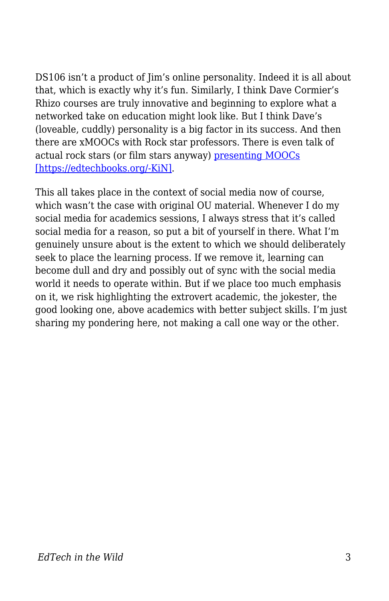DS106 isn't a product of Jim's online personality. Indeed it is all about that, which is exactly why it's fun. Similarly, I think Dave Cormier's Rhizo courses are truly innovative and beginning to explore what a networked take on education might look like. But I think Dave's (loveable, cuddly) personality is a big factor in its success. And then there are xMOOCs with Rock star professors. There is even talk of actual rock stars (or film stars anyway) [presenting MOOCs](http://www.slate.com/articles/technology/future_tense/2013/11/udacity_coursera_should_celebrities_teach_moocs.html) [\[https://edtechbooks.org/-KiN\].](http://www.slate.com/articles/technology/future_tense/2013/11/udacity_coursera_should_celebrities_teach_moocs.html)

This all takes place in the context of social media now of course, which wasn't the case with original OU material. Whenever I do my social media for academics sessions, I always stress that it's called social media for a reason, so put a bit of yourself in there. What I'm genuinely unsure about is the extent to which we should deliberately seek to place the learning process. If we remove it, learning can become dull and dry and possibly out of sync with the social media world it needs to operate within. But if we place too much emphasis on it, we risk highlighting the extrovert academic, the jokester, the good looking one, above academics with better subject skills. I'm just sharing my pondering here, not making a call one way or the other.